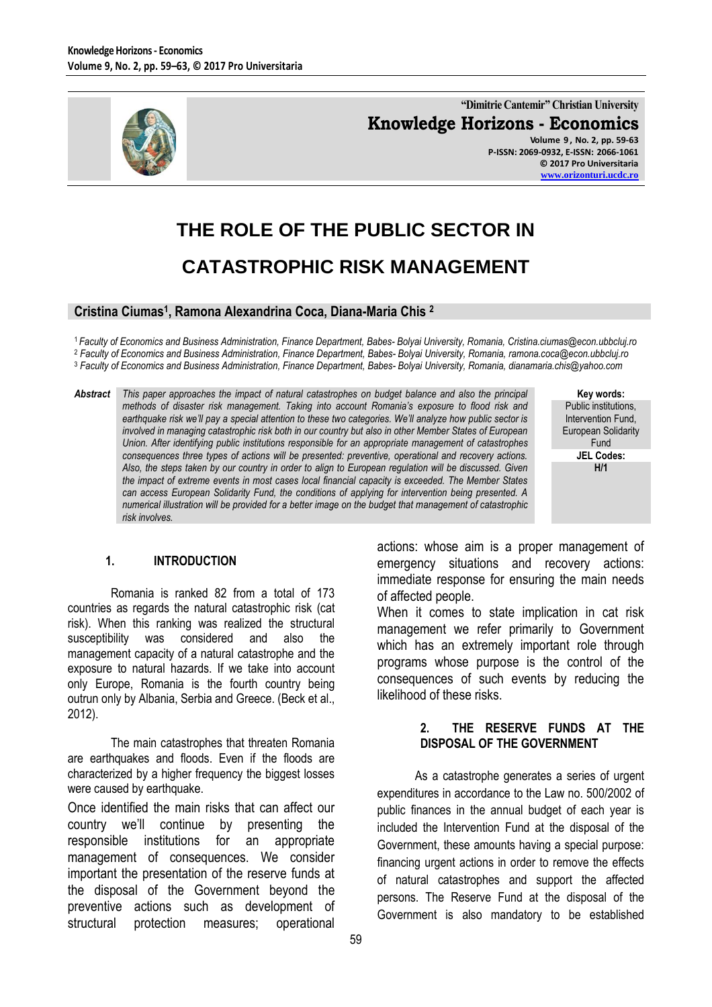

**"Dimitrie Cantemir" Christian University Knowledge Horizons - Economics Volume 9 , No. 2, pp. 59-63 P-ISSN: 2069-0932, E-ISSN: 2066-1061 © 2017 Pro Universitaria [www.orizonturi.ucdc.ro](http://www.orizonturi.ucdc.ro/)**

# **THE ROLE OF THE PUBLIC SECTOR IN CATASTROPHIC RISK MANAGEMENT**

## **Cristina Ciumas<sup>1</sup> , Ramona Alexandrina Coca, Diana-Maria Chis <sup>2</sup>**

<sup>1</sup>*Faculty of Economics and Business Administration, Finance Department, Babes- Bolyai University, Romania, Cristina.ciumas@econ.ubbcluj.ro* <sup>2</sup> *Faculty of Economics and Business Administration, Finance Department, Babes- Bolyai University, Romania, ramona.coca@econ.ubbcluj.ro* <sup>3</sup> *Faculty of Economics and Business Administration, Finance Department, Babes- Bolyai University, Romania, dianamaria.chis@yahoo.com*

*Abstract This paper approaches the impact of natural catastrophes on budget balance and also the principal methods of disaster risk management. Taking into account Romania's exposure to flood risk and earthquake risk we'll pay a special attention to these two categories. We'll analyze how public sector is involved in managing catastrophic risk both in our country but also in other Member States of European Union. After identifying public institutions responsible for an appropriate management of catastrophes consequences three types of actions will be presented: preventive, operational and recovery actions. Also, the steps taken by our country in order to align to European regulation will be discussed. Given the impact of extreme events in most cases local financial capacity is exceeded. The Member States can access European Solidarity Fund, the conditions of applying for intervention being presented. A numerical illustration will be provided for a better image on the budget that management of catastrophic risk involves.*

**Key words:** Public institutions, Intervention Fund, European Solidarity Fund **JEL Codes: H/1**

# **1. INTRODUCTION**

Romania is ranked 82 from a total of 173 countries as regards the natural catastrophic risk (cat risk). When this ranking was realized the structural susceptibility was considered and also the management capacity of a natural catastrophe and the exposure to natural hazards. If we take into account only Europe, Romania is the fourth country being outrun only by Albania, Serbia and Greece. (Beck et al., 2012).

The main catastrophes that threaten Romania are earthquakes and floods. Even if the floods are characterized by a higher frequency the biggest losses were caused by earthquake.

Once identified the main risks that can affect our country we'll continue by presenting the responsible institutions for an appropriate management of consequences. We consider important the presentation of the reserve funds at the disposal of the Government beyond the preventive actions such as development of structural protection measures; operational

actions: whose aim is a proper management of emergency situations and recovery actions: immediate response for ensuring the main needs of affected people.

When it comes to state implication in cat risk management we refer primarily to Government which has an extremely important role through programs whose purpose is the control of the consequences of such events by reducing the likelihood of these risks.

# **2. THE RESERVE FUNDS AT THE DISPOSAL OF THE GOVERNMENT**

As a catastrophe generates a series of urgent expenditures in accordance to the Law no. 500/2002 of public finances in the annual budget of each year is included the Intervention Fund at the disposal of the Government, these amounts having a special purpose: financing urgent actions in order to remove the effects of natural catastrophes and support the affected persons. The Reserve Fund at the disposal of the Government is also mandatory to be established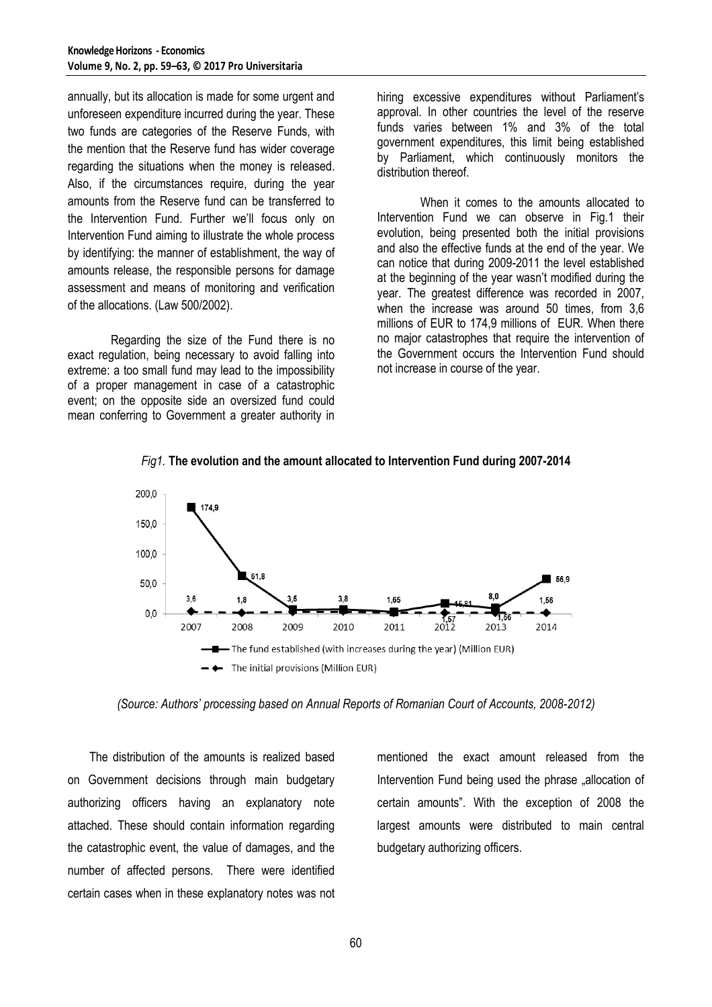annually, but its allocation is made for some urgent and unforeseen expenditure incurred during the year. These two funds are categories of the Reserve Funds, with the mention that the Reserve fund has wider coverage regarding the situations when the money is released. Also, if the circumstances require, during the year amounts from the Reserve fund can be transferred to the Intervention Fund. Further we'll focus only on Intervention Fund aiming to illustrate the whole process by identifying: the manner of establishment, the way of amounts release, the responsible persons for damage assessment and means of monitoring and verification of the allocations. (Law 500/2002).

Regarding the size of the Fund there is no exact regulation, being necessary to avoid falling into extreme: a too small fund may lead to the impossibility of a proper management in case of a catastrophic event; on the opposite side an oversized fund could mean conferring to Government a greater authority in hiring excessive expenditures without Parliament's approval. In other countries the level of the reserve funds varies between 1% and 3% of the total government expenditures, this limit being established by Parliament, which continuously monitors the distribution thereof.

When it comes to the amounts allocated to Intervention Fund we can observe in Fig.1 their evolution, being presented both the initial provisions and also the effective funds at the end of the year. We can notice that during 2009-2011 the level established at the beginning of the year wasn't modified during the year. The greatest difference was recorded in 2007, when the increase was around 50 times, from 3,6 millions of EUR to 174,9 millions of EUR. When there no major catastrophes that require the intervention of the Government occurs the Intervention Fund should not increase in course of the year.



*Fig1.* **The evolution and the amount allocated to Intervention Fund during 2007-2014**

*(Source: Authors' processing based on Annual Reports of Romanian Court of Accounts, 2008-2012)*

The distribution of the amounts is realized based on Government decisions through main budgetary authorizing officers having an explanatory note attached. These should contain information regarding the catastrophic event, the value of damages, and the number of affected persons. There were identified certain cases when in these explanatory notes was not mentioned the exact amount released from the Intervention Fund being used the phrase "allocation of certain amounts". With the exception of 2008 the largest amounts were distributed to main central budgetary authorizing officers.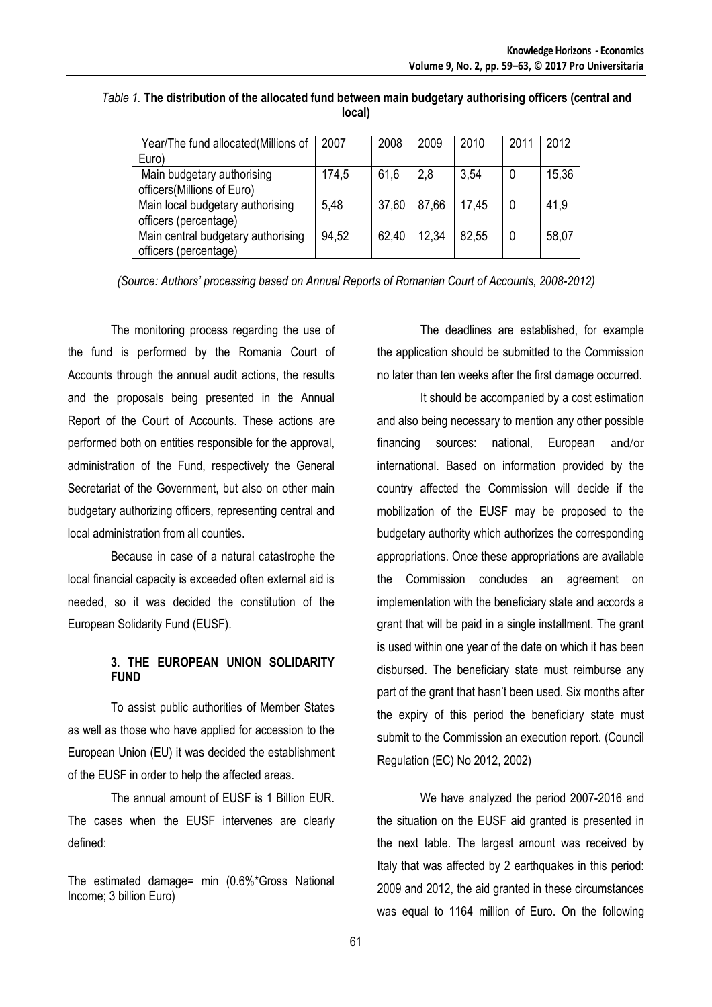| Year/The fund allocated(Millions of | 2007  | 2008  | 2009  | 2010  | 2011 | 2012  |
|-------------------------------------|-------|-------|-------|-------|------|-------|
| Euro)                               |       |       |       |       |      |       |
| Main budgetary authorising          | 174,5 | 61,6  | 2,8   | 3,54  |      | 15,36 |
| officers(Millions of Euro)          |       |       |       |       |      |       |
| Main local budgetary authorising    | 5,48  | 37,60 | 87,66 | 17,45 |      | 41.9  |
| officers (percentage)               |       |       |       |       |      |       |
| Main central budgetary authorising  | 94,52 | 62,40 | 12.34 | 82,55 |      | 58,07 |
| officers (percentage)               |       |       |       |       |      |       |

*Table 1.* **The distribution of the allocated fund between main budgetary authorising officers (central and local)**

*(Source: Authors' processing based on Annual Reports of Romanian Court of Accounts, 2008-2012)*

The monitoring process regarding the use of the fund is performed by the Romania Court of Accounts through the annual audit actions, the results and the proposals being presented in the Annual Report of the Court of Accounts. These actions are performed both on entities responsible for the approval, administration of the Fund, respectively the General Secretariat of the Government, but also on other main budgetary authorizing officers, representing central and local administration from all counties.

Because in case of a natural catastrophe the local financial capacity is exceeded often external aid is needed, so it was decided the constitution of the European Solidarity Fund (EUSF).

# **3. THE EUROPEAN UNION SOLIDARITY FUND**

To assist public authorities of Member States as well as those who have applied for accession to the European Union (EU) it was decided the establishment of the EUSF in order to help the affected areas.

The annual amount of EUSF is 1 Billion EUR. The cases when the EUSF intervenes are clearly defined:

The estimated damage= min (0.6%\*Gross National Income; 3 billion Euro)

The deadlines are established, for example the application should be submitted to the Commission no later than ten weeks after the first damage occurred.

It should be accompanied by a cost estimation and also being necessary to mention any other possible financing sources: national, European and/or international. Based on information provided by the country affected the Commission will decide if the mobilization of the EUSF may be proposed to the budgetary authority which authorizes the corresponding appropriations. Once these appropriations are available the Commission concludes an agreement on implementation with the beneficiary state and accords a grant that will be paid in a single installment. The grant is used within one year of the date on which it has been disbursed. The beneficiary state must reimburse any part of the grant that hasn't been used. Six months after the expiry of this period the beneficiary state must submit to the Commission an execution report. (Council Regulation (EC) No 2012, 2002)

We have analyzed the period 2007-2016 and the situation on the EUSF aid granted is presented in the next table. The largest amount was received by Italy that was affected by 2 earthquakes in this period: 2009 and 2012, the aid granted in these circumstances was equal to 1164 million of Euro. On the following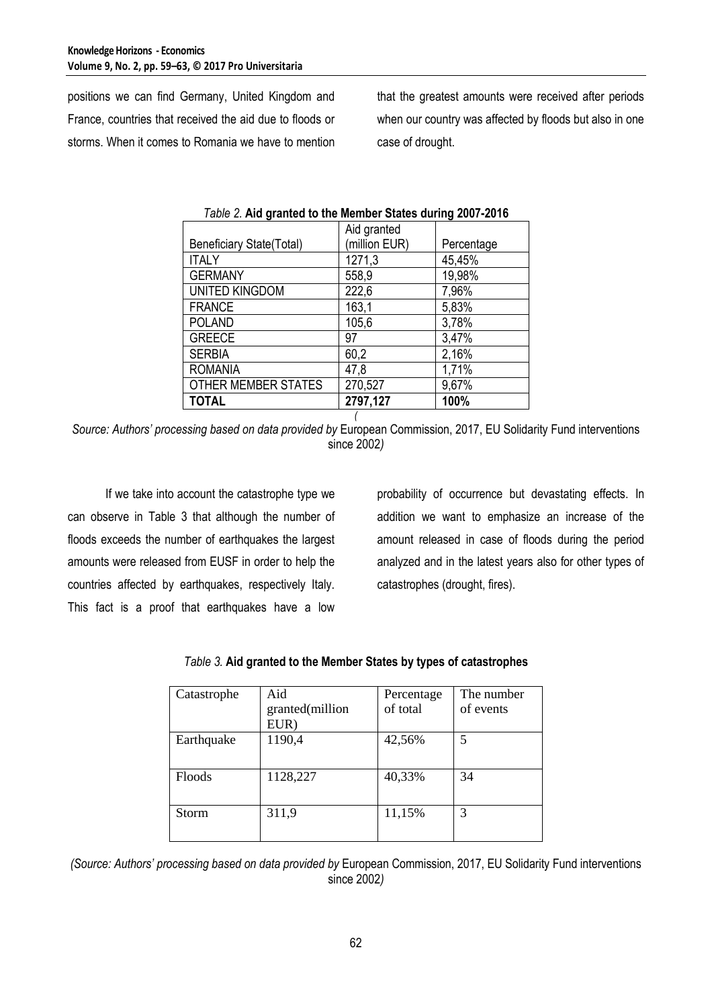positions we can find Germany, United Kingdom and France, countries that received the aid due to floods or storms. When it comes to Romania we have to mention

that the greatest amounts were received after periods when our country was affected by floods but also in one case of drought.

| <b>TOTAL</b>                    | 2797,127      | 100%       |
|---------------------------------|---------------|------------|
| OTHER MEMBER STATES             | 270,527       | 9,67%      |
| <b>ROMANIA</b>                  | 47,8          | 1,71%      |
| <b>SERBIA</b>                   | 60,2          | 2,16%      |
| <b>GREECE</b>                   | 97            | 3,47%      |
| <b>POLAND</b>                   | 105,6         | 3,78%      |
| <b>FRANCE</b>                   | 163,1         | 5,83%      |
| <b>UNITED KINGDOM</b>           | 222,6         | 7,96%      |
| <b>GERMANY</b>                  | 558,9         | 19,98%     |
| <b>ITALY</b>                    | 1271,3        | 45,45%     |
| <b>Beneficiary State(Total)</b> | (million EUR) | Percentage |
|                                 | Aid granted   |            |

|  |  |  | Table 2. Aid granted to the Member States during 2007-2016 |
|--|--|--|------------------------------------------------------------|
|  |  |  |                                                            |

*( Source: Authors' processing based on data provided by* European Commission, 2017, EU Solidarity Fund interventions since 2002*)*

If we take into account the catastrophe type we can observe in Table 3 that although the number of floods exceeds the number of earthquakes the largest amounts were released from EUSF in order to help the countries affected by earthquakes, respectively Italy. This fact is a proof that earthquakes have a low

probability of occurrence but devastating effects. In addition we want to emphasize an increase of the amount released in case of floods during the period analyzed and in the latest years also for other types of catastrophes (drought, fires).

| Aid             | Percentage | The number |
|-----------------|------------|------------|
| granted(million | of total   | of events  |
| EUR)            |            |            |
| 1190,4          | 42,56%     | 5          |
|                 |            |            |
| 1128,227        | 40,33%     | 34         |
|                 |            |            |
| 311,9           | 11,15%     | 3          |
|                 |            |            |
|                 |            |            |

| Table 3. Aid granted to the Member States by types of catastrophes |
|--------------------------------------------------------------------|
|--------------------------------------------------------------------|

*(Source: Authors' processing based on data provided by* European Commission, 2017, EU Solidarity Fund interventions since 2002*)*